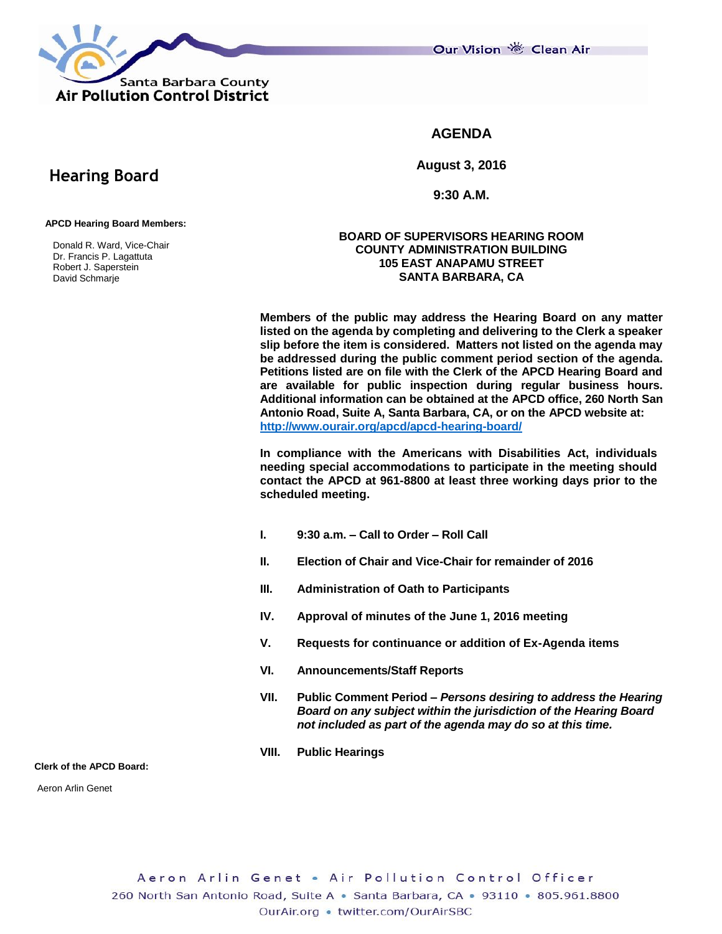Santa Barbara County **Air Pollution Control District** 

Our Vision 卷 Clean Air

## **AGENDA**

**August 3, 2016**

**9:30 A.M.**

### **APCD Hearing Board Members:**

 **Hearing Board**

 Donald R. Ward, Vice-Chair Dr. Francis P. Lagattuta Robert J. Saperstein David Schmarje

### **BOARD OF SUPERVISORS HEARING ROOM COUNTY ADMINISTRATION BUILDING 105 EAST ANAPAMU STREET SANTA BARBARA, CA**

**Members of the public may address the Hearing Board on any matter listed on the agenda by completing and delivering to the Clerk a speaker slip before the item is considered. Matters not listed on the agenda may be addressed during the public comment period section of the agenda. Petitions listed are on file with the Clerk of the APCD Hearing Board and are available for public inspection during regular business hours. Additional information can be obtained at the APCD office, 260 North San Antonio Road, Suite A, Santa Barbara, CA, or on the APCD website at: <http://www.ourair.org/apcd/apcd-hearing-board/>**

**In compliance with the Americans with Disabilities Act, individuals needing special accommodations to participate in the meeting should contact the APCD at 961-8800 at least three working days prior to the scheduled meeting.**

- **I. 9:30 a.m. – Call to Order – Roll Call**
- **II. Election of Chair and Vice-Chair for remainder of 2016**
- **III. Administration of Oath to Participants**
- **IV. Approval of minutes of the June 1, 2016 meeting**
- **V. Requests for continuance or addition of Ex-Agenda items**
- **VI. Announcements/Staff Reports**
- **VII. Public Comment Period –** *Persons desiring to address the Hearing Board on any subject within the jurisdiction of the Hearing Board not included as part of the agenda may do so at this time.*
- **VIII. Public Hearings**

**Clerk of the APCD Board:**

Aeron Arlin Genet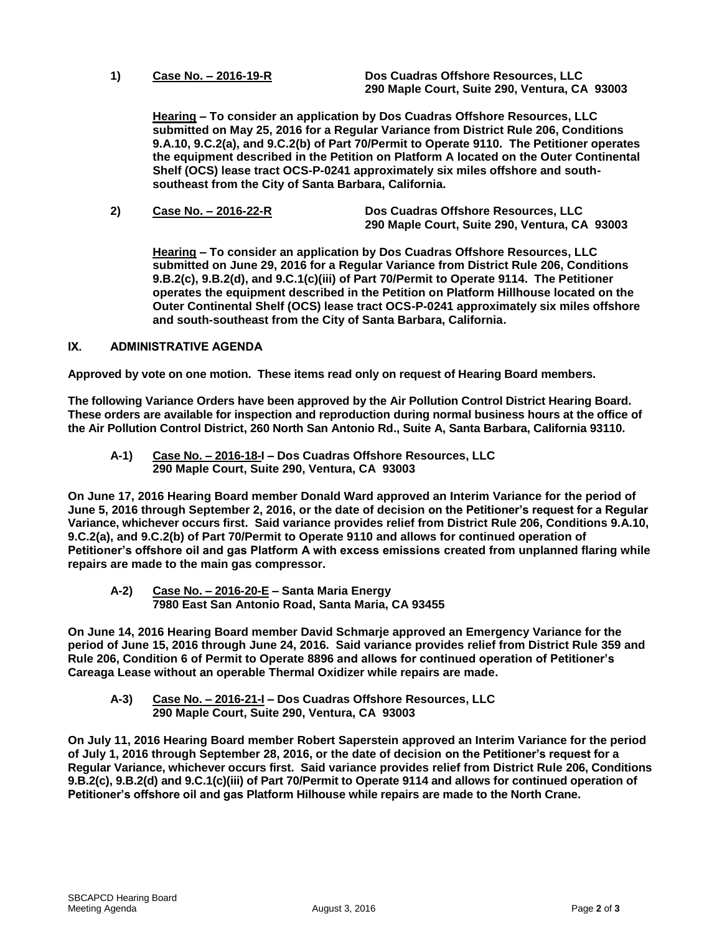**1) Case No. – 2016-19-R Dos Cuadras Offshore Resources, LLC 290 Maple Court, Suite 290, Ventura, CA 93003**

**Hearing – To consider an application by Dos Cuadras Offshore Resources, LLC submitted on May 25, 2016 for a Regular Variance from District Rule 206, Conditions 9.A.10, 9.C.2(a), and 9.C.2(b) of Part 70/Permit to Operate 9110. The Petitioner operates the equipment described in the Petition on Platform A located on the Outer Continental Shelf (OCS) lease tract OCS-P-0241 approximately six miles offshore and southsoutheast from the City of Santa Barbara, California.**

**2) Case No. – 2016-22-R Dos Cuadras Offshore Resources, LLC 290 Maple Court, Suite 290, Ventura, CA 93003**

**Hearing – To consider an application by Dos Cuadras Offshore Resources, LLC submitted on June 29, 2016 for a Regular Variance from District Rule 206, Conditions 9.B.2(c), 9.B.2(d), and 9.C.1(c)(iii) of Part 70/Permit to Operate 9114. The Petitioner operates the equipment described in the Petition on Platform Hillhouse located on the Outer Continental Shelf (OCS) lease tract OCS-P-0241 approximately six miles offshore and south-southeast from the City of Santa Barbara, California.**

### **IX. ADMINISTRATIVE AGENDA**

**Approved by vote on one motion. These items read only on request of Hearing Board members.**

**The following Variance Orders have been approved by the Air Pollution Control District Hearing Board. These orders are available for inspection and reproduction during normal business hours at the office of the Air Pollution Control District, 260 North San Antonio Rd., Suite A, Santa Barbara, California 93110.**

**A-1) Case No. – 2016-18-I – Dos Cuadras Offshore Resources, LLC 290 Maple Court, Suite 290, Ventura, CA 93003**

**On June 17, 2016 Hearing Board member Donald Ward approved an Interim Variance for the period of June 5, 2016 through September 2, 2016, or the date of decision on the Petitioner's request for a Regular Variance, whichever occurs first. Said variance provides relief from District Rule 206, Conditions 9.A.10, 9.C.2(a), and 9.C.2(b) of Part 70/Permit to Operate 9110 and allows for continued operation of Petitioner's offshore oil and gas Platform A with excess emissions created from unplanned flaring while repairs are made to the main gas compressor.**

**A-2) Case No. – 2016-20-E – Santa Maria Energy 7980 East San Antonio Road, Santa Maria, CA 93455**

**On June 14, 2016 Hearing Board member David Schmarje approved an Emergency Variance for the period of June 15, 2016 through June 24, 2016. Said variance provides relief from District Rule 359 and Rule 206, Condition 6 of Permit to Operate 8896 and allows for continued operation of Petitioner's Careaga Lease without an operable Thermal Oxidizer while repairs are made.**

**A-3) Case No. – 2016-21-I – Dos Cuadras Offshore Resources, LLC 290 Maple Court, Suite 290, Ventura, CA 93003**

**On July 11, 2016 Hearing Board member Robert Saperstein approved an Interim Variance for the period of July 1, 2016 through September 28, 2016, or the date of decision on the Petitioner's request for a Regular Variance, whichever occurs first. Said variance provides relief from District Rule 206, Conditions 9.B.2(c), 9.B.2(d) and 9.C.1(c)(iii) of Part 70/Permit to Operate 9114 and allows for continued operation of Petitioner's offshore oil and gas Platform Hilhouse while repairs are made to the North Crane.**